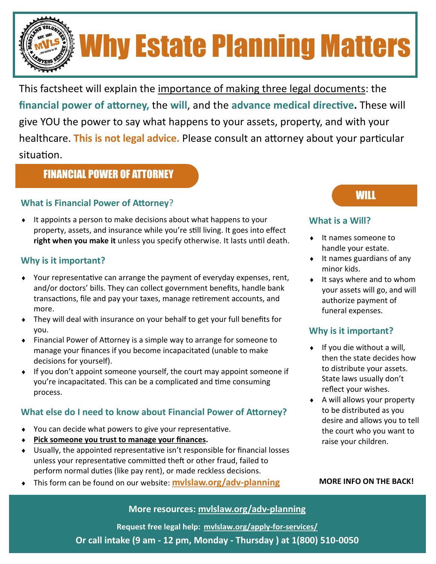# Why Estate Planning Matters

This factsheet will explain the importance of making three legal documents: the **financial power of attorney,** the **will**, and the **advance medical directive.** These will give YOU the power to say what happens to your assets, property, and with your healthcare. **This is not legal advice.** Please consult an attorney about your particular situation.

### FINANCIAL POWER OF ATTORNEY

#### **What is Financial Power of Attorney**?

 It appoints a person to make decisions about what happens to your property, assets, and insurance while you're still living. It goes into effect **right when you make it** unless you specify otherwise. It lasts until death.

#### **Why is it important?**

- Your representative can arrange the payment of everyday expenses, rent, and/or doctors' bills. They can collect government benefits, handle bank transactions, file and pay your taxes, manage retirement accounts, and more.
- They will deal with insurance on your behalf to get your full benefits for you.
- Financial Power of Attorney is a simple way to arrange for someone to manage your finances if you become incapacitated (unable to make decisions for yourself).
- If you don't appoint someone yourself, the court may appoint someone if you're incapacitated. This can be a complicated and time consuming process.

#### **What else do I need to know about Financial Power of Attorney?**

- You can decide what powers to give your representative.
- **Pick someone you trust to manage your finances.**
- Usually, the appointed representative isn't responsible for financial losses unless your representative committed theft or other fraud, failed to perform normal duties (like pay rent), or made reckless decisions.
- This form can be found on our website: **mvlslaw.org/adv-planning**

## WILL

#### **What is a Will?**

- ◆ It names someone to handle your estate.
- $\bullet$  It names guardians of any minor kids.
- $\bullet$  It says where and to whom your assets will go, and will authorize payment of funeral expenses.

#### **Why is it important?**

- $\bullet$  If you die without a will, then the state decides how to distribute your assets. State laws usually don't reflect your wishes.
- A will allows your property to be distributed as you desire and allows you to tell the court who you want to raise your children.

#### **MORE INFO ON THE BACK!**

#### **More resources: mvlslaw.org/adv-planning**

1 **Or call intake (9 am - 12 pm, Monday - Thursday ) at 1(800) 510-0050 Request free legal help: mvlslaw.org/apply-for-services/**